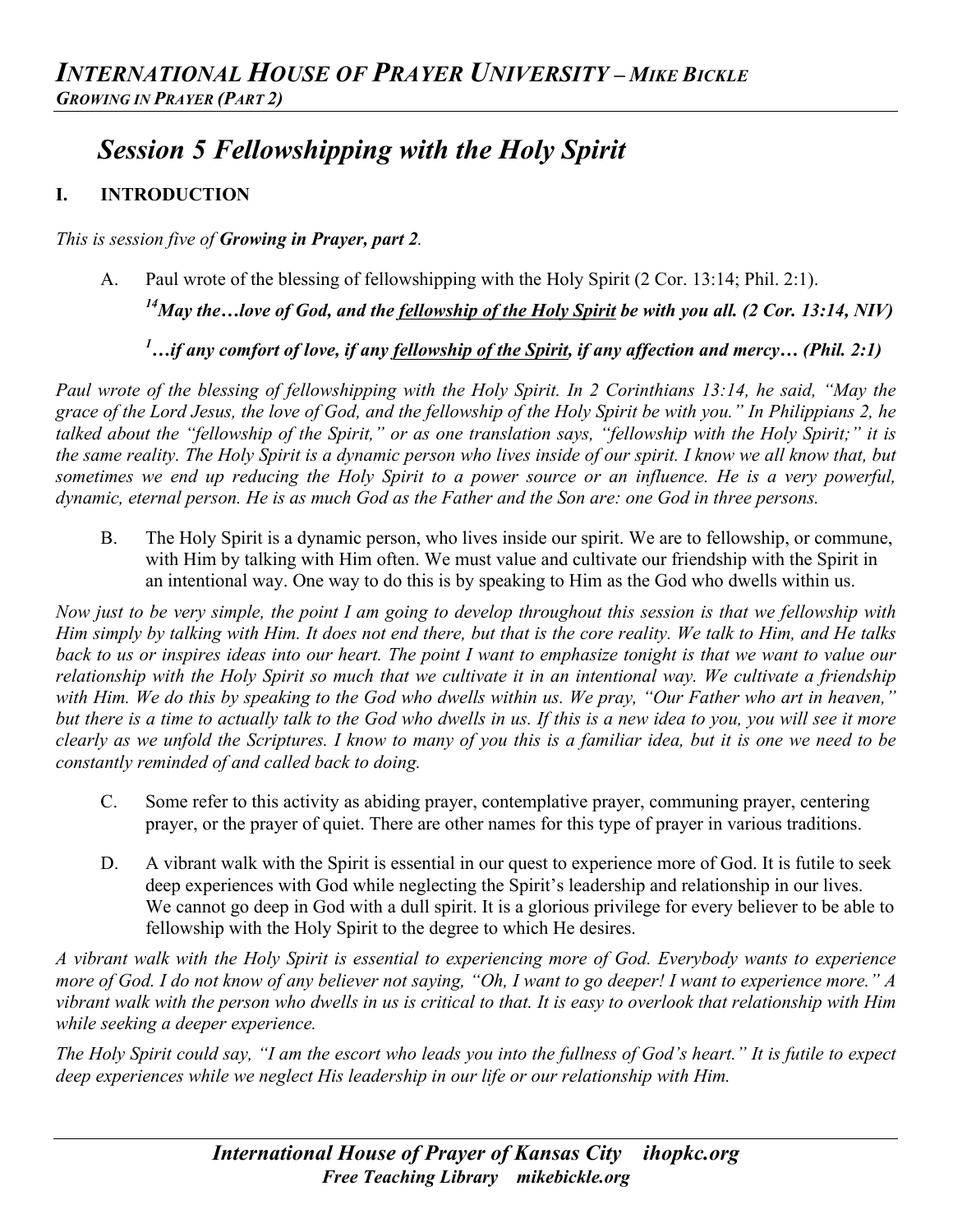# *Session 5 Fellowshipping with the Holy Spirit*

## **I. INTRODUCTION**

*This is session five of Growing in Prayer, part 2.*

A. Paul wrote of the blessing of fellowshipping with the Holy Spirit (2 Cor. 13:14; Phil. 2:1).

*14May the…love of God, and the fellowship of the Holy Spirit be with you all. (2 Cor. 13:14, NIV)*

*1 …if any comfort of love, if any fellowship of the Spirit, if any affection and mercy… (Phil. 2:1)*

*Paul wrote of the blessing of fellowshipping with the Holy Spirit. In 2 Corinthians 13:14, he said, "May the grace of the Lord Jesus, the love of God, and the fellowship of the Holy Spirit be with you." In Philippians 2, he talked about the "fellowship of the Spirit," or as one translation says, "fellowship with the Holy Spirit;" it is the same reality. The Holy Spirit is a dynamic person who lives inside of our spirit. I know we all know that, but sometimes we end up reducing the Holy Spirit to a power source or an influence. He is a very powerful, dynamic, eternal person. He is as much God as the Father and the Son are: one God in three persons.*

B. The Holy Spirit is a dynamic person, who lives inside our spirit. We are to fellowship, or commune, with Him by talking with Him often. We must value and cultivate our friendship with the Spirit in an intentional way. One way to do this is by speaking to Him as the God who dwells within us.

*Now just to be very simple, the point I am going to develop throughout this session is that we fellowship with Him simply by talking with Him. It does not end there, but that is the core reality. We talk to Him, and He talks back to us or inspires ideas into our heart. The point I want to emphasize tonight is that we want to value our relationship with the Holy Spirit so much that we cultivate it in an intentional way. We cultivate a friendship with Him. We do this by speaking to the God who dwells within us. We pray, "Our Father who art in heaven," but there is a time to actually talk to the God who dwells in us. If this is a new idea to you, you will see it more clearly as we unfold the Scriptures. I know to many of you this is a familiar idea, but it is one we need to be constantly reminded of and called back to doing.*

- C. Some refer to this activity as abiding prayer, contemplative prayer, communing prayer, centering prayer, or the prayer of quiet. There are other names for this type of prayer in various traditions.
- D. A vibrant walk with the Spirit is essential in our quest to experience more of God. It is futile to seek deep experiences with God while neglecting the Spirit's leadership and relationship in our lives. We cannot go deep in God with a dull spirit. It is a glorious privilege for every believer to be able to fellowship with the Holy Spirit to the degree to which He desires.

*A vibrant walk with the Holy Spirit is essential to experiencing more of God. Everybody wants to experience more of God. I do not know of any believer not saying, "Oh, I want to go deeper! I want to experience more." A vibrant walk with the person who dwells in us is critical to that. It is easy to overlook that relationship with Him while seeking a deeper experience.*

*The Holy Spirit could say, "I am the escort who leads you into the fullness of God's heart." It is futile to expect deep experiences while we neglect His leadership in our life or our relationship with Him.*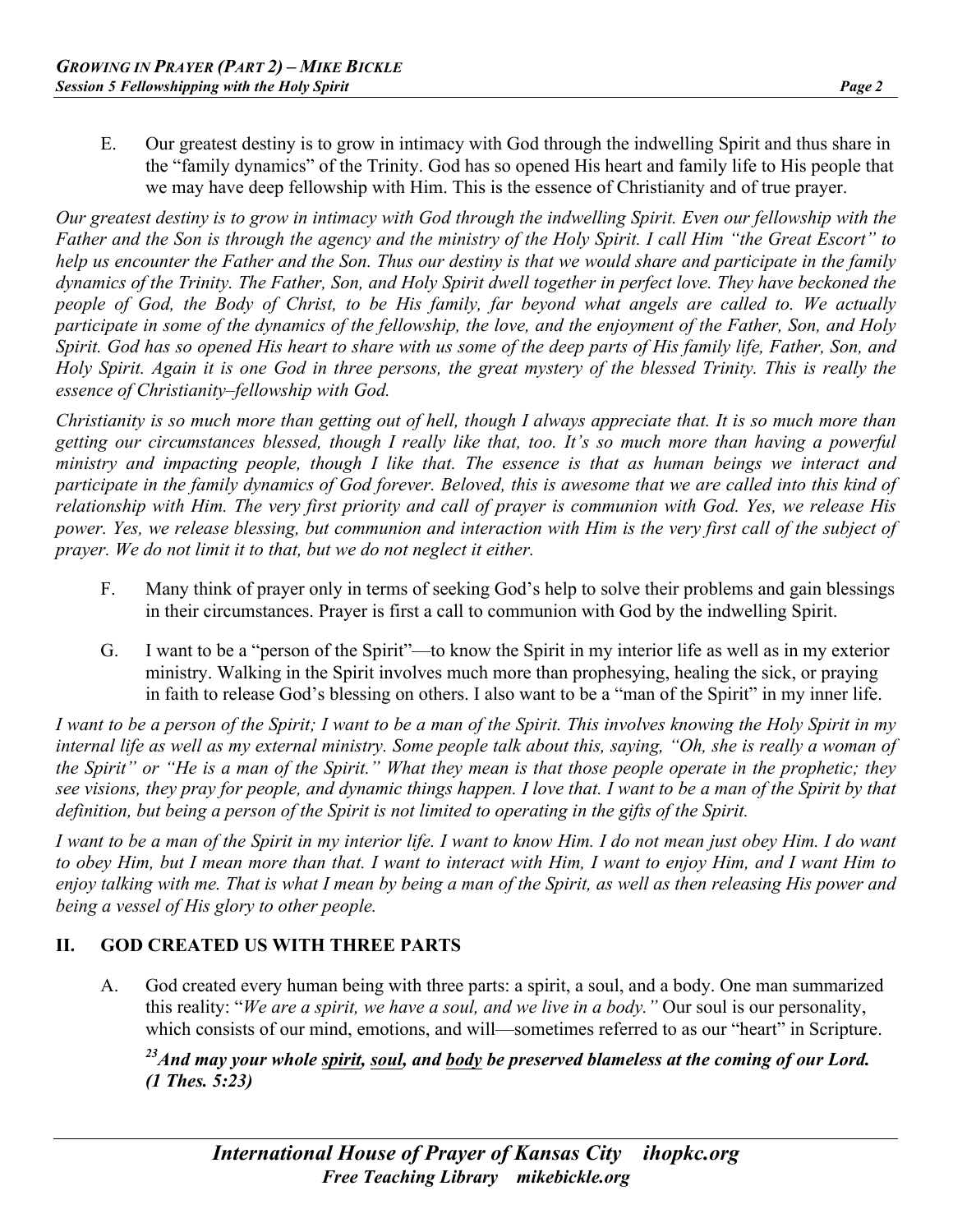E. Our greatest destiny is to grow in intimacy with God through the indwelling Spirit and thus share in the "family dynamics" of the Trinity. God has so opened His heart and family life to His people that we may have deep fellowship with Him. This is the essence of Christianity and of true prayer.

*Our greatest destiny is to grow in intimacy with God through the indwelling Spirit. Even our fellowship with the Father and the Son is through the agency and the ministry of the Holy Spirit. I call Him "the Great Escort" to help us encounter the Father and the Son. Thus our destiny is that we would share and participate in the family dynamics of the Trinity. The Father, Son, and Holy Spirit dwell together in perfect love. They have beckoned the people of God, the Body of Christ, to be His family, far beyond what angels are called to. We actually participate in some of the dynamics of the fellowship, the love, and the enjoyment of the Father, Son, and Holy Spirit. God has so opened His heart to share with us some of the deep parts of His family life, Father, Son, and Holy Spirit. Again it is one God in three persons, the great mystery of the blessed Trinity. This is really the essence of Christianity–fellowship with God.*

*Christianity is so much more than getting out of hell, though I always appreciate that. It is so much more than getting our circumstances blessed, though I really like that, too. It's so much more than having a powerful ministry and impacting people, though I like that. The essence is that as human beings we interact and participate in the family dynamics of God forever. Beloved, this is awesome that we are called into this kind of relationship with Him. The very first priority and call of prayer is communion with God. Yes, we release His power. Yes, we release blessing, but communion and interaction with Him is the very first call of the subject of prayer. We do not limit it to that, but we do not neglect it either.*

- F. Many think of prayer only in terms of seeking God's help to solve their problems and gain blessings in their circumstances. Prayer is first a call to communion with God by the indwelling Spirit.
- G. I want to be a "person of the Spirit"—to know the Spirit in my interior life as well as in my exterior ministry. Walking in the Spirit involves much more than prophesying, healing the sick, or praying in faith to release God's blessing on others. I also want to be a "man of the Spirit" in my inner life.

*I want to be a person of the Spirit; I want to be a man of the Spirit. This involves knowing the Holy Spirit in my internal life as well as my external ministry. Some people talk about this, saying, "Oh, she is really a woman of the Spirit" or "He is a man of the Spirit." What they mean is that those people operate in the prophetic; they see visions, they pray for people, and dynamic things happen. I love that. I want to be a man of the Spirit by that definition, but being a person of the Spirit is not limited to operating in the gifts of the Spirit.*

*I want to be a man of the Spirit in my interior life. I want to know Him. I do not mean just obey Him. I do want to obey Him, but I mean more than that. I want to interact with Him, I want to enjoy Him, and I want Him to enjoy talking with me. That is what I mean by being a man of the Spirit, as well as then releasing His power and being a vessel of His glory to other people.*

#### **II. GOD CREATED US WITH THREE PARTS**

A. God created every human being with three parts: a spirit, a soul, and a body. One man summarized this reality: "*We are a spirit, we have a soul, and we live in a body."* Our soul is our personality, which consists of our mind, emotions, and will—sometimes referred to as our "heart" in Scripture.

*23And may your whole spirit, soul, and body be preserved blameless at the coming of our Lord. (1 Thes. 5:23)*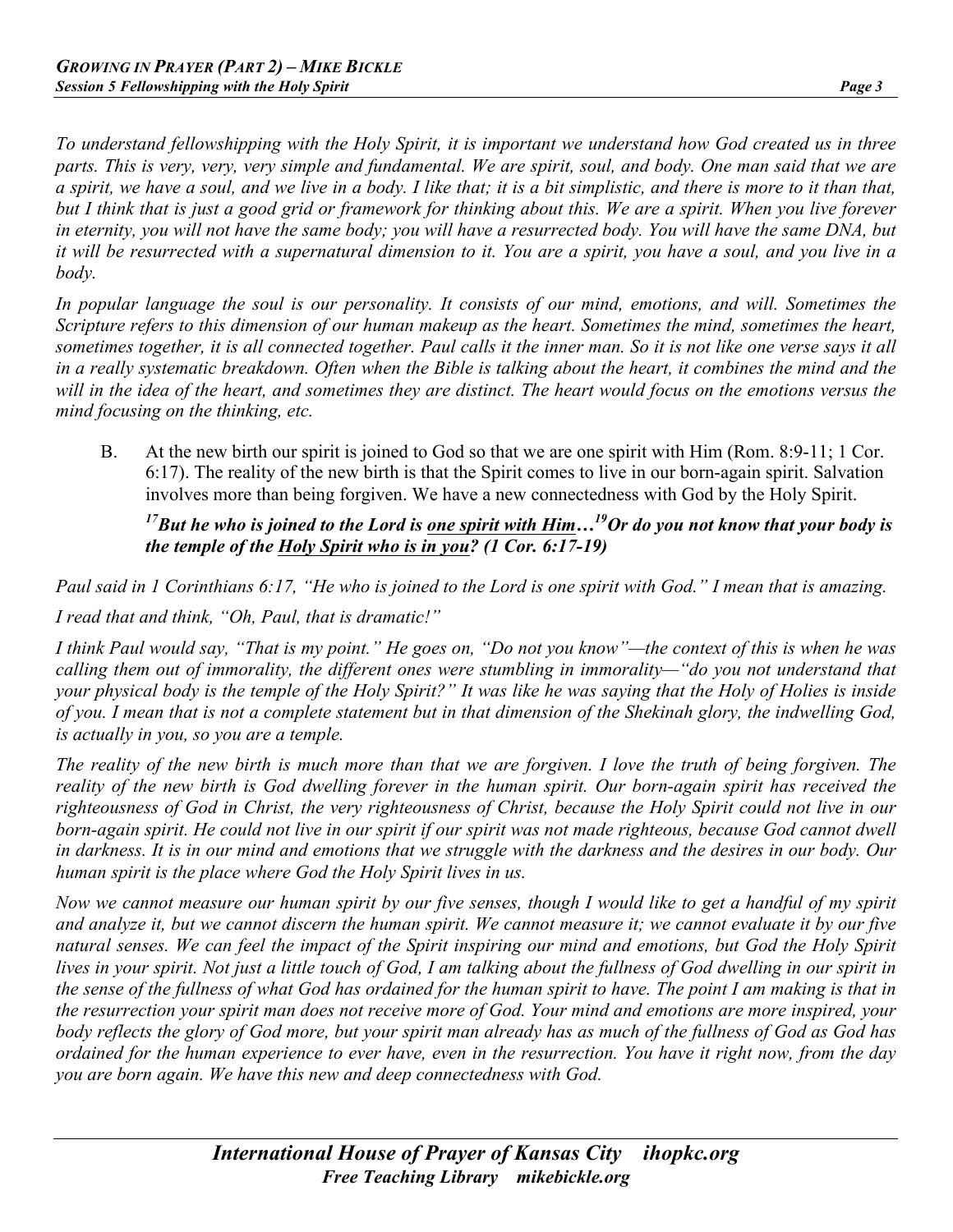*To understand fellowshipping with the Holy Spirit, it is important we understand how God created us in three parts. This is very, very, very simple and fundamental. We are spirit, soul, and body. One man said that we are a spirit, we have a soul, and we live in a body. I like that; it is a bit simplistic, and there is more to it than that, but I think that is just a good grid or framework for thinking about this. We are a spirit. When you live forever in eternity, you will not have the same body; you will have a resurrected body. You will have the same DNA, but it will be resurrected with a supernatural dimension to it. You are a spirit, you have a soul, and you live in a body.*

*In popular language the soul is our personality. It consists of our mind, emotions, and will. Sometimes the Scripture refers to this dimension of our human makeup as the heart. Sometimes the mind, sometimes the heart, sometimes together, it is all connected together. Paul calls it the inner man. So it is not like one verse says it all in a really systematic breakdown. Often when the Bible is talking about the heart, it combines the mind and the*  will in the idea of the heart, and sometimes they are distinct. The heart would focus on the emotions versus the *mind focusing on the thinking, etc.*

B. At the new birth our spirit is joined to God so that we are one spirit with Him (Rom. 8:9-11; 1 Cor. 6:17). The reality of the new birth is that the Spirit comes to live in our born-again spirit. Salvation involves more than being forgiven. We have a new connectedness with God by the Holy Spirit.

#### *17But he who is joined to the Lord is one spirit with Him…19Or do you not know that your body is the temple of the Holy Spirit who is in you? (1 Cor. 6:17-19)*

*Paul said in 1 Corinthians 6:17, "He who is joined to the Lord is one spirit with God." I mean that is amazing. I read that and think, "Oh, Paul, that is dramatic!"*

*I think Paul would say, "That is my point." He goes on, "Do not you know"—the context of this is when he was calling them out of immorality, the different ones were stumbling in immorality—"do you not understand that your physical body is the temple of the Holy Spirit?" It was like he was saying that the Holy of Holies is inside of you. I mean that is not a complete statement but in that dimension of the Shekinah glory, the indwelling God, is actually in you, so you are a temple.*

*The reality of the new birth is much more than that we are forgiven. I love the truth of being forgiven. The reality of the new birth is God dwelling forever in the human spirit. Our born-again spirit has received the righteousness of God in Christ, the very righteousness of Christ, because the Holy Spirit could not live in our born-again spirit. He could not live in our spirit if our spirit was not made righteous, because God cannot dwell in darkness. It is in our mind and emotions that we struggle with the darkness and the desires in our body. Our human spirit is the place where God the Holy Spirit lives in us.*

*Now we cannot measure our human spirit by our five senses, though I would like to get a handful of my spirit and analyze it, but we cannot discern the human spirit. We cannot measure it; we cannot evaluate it by our five natural senses. We can feel the impact of the Spirit inspiring our mind and emotions, but God the Holy Spirit lives in your spirit. Not just a little touch of God, I am talking about the fullness of God dwelling in our spirit in the sense of the fullness of what God has ordained for the human spirit to have. The point I am making is that in the resurrection your spirit man does not receive more of God. Your mind and emotions are more inspired, your body reflects the glory of God more, but your spirit man already has as much of the fullness of God as God has ordained for the human experience to ever have, even in the resurrection. You have it right now, from the day you are born again. We have this new and deep connectedness with God.*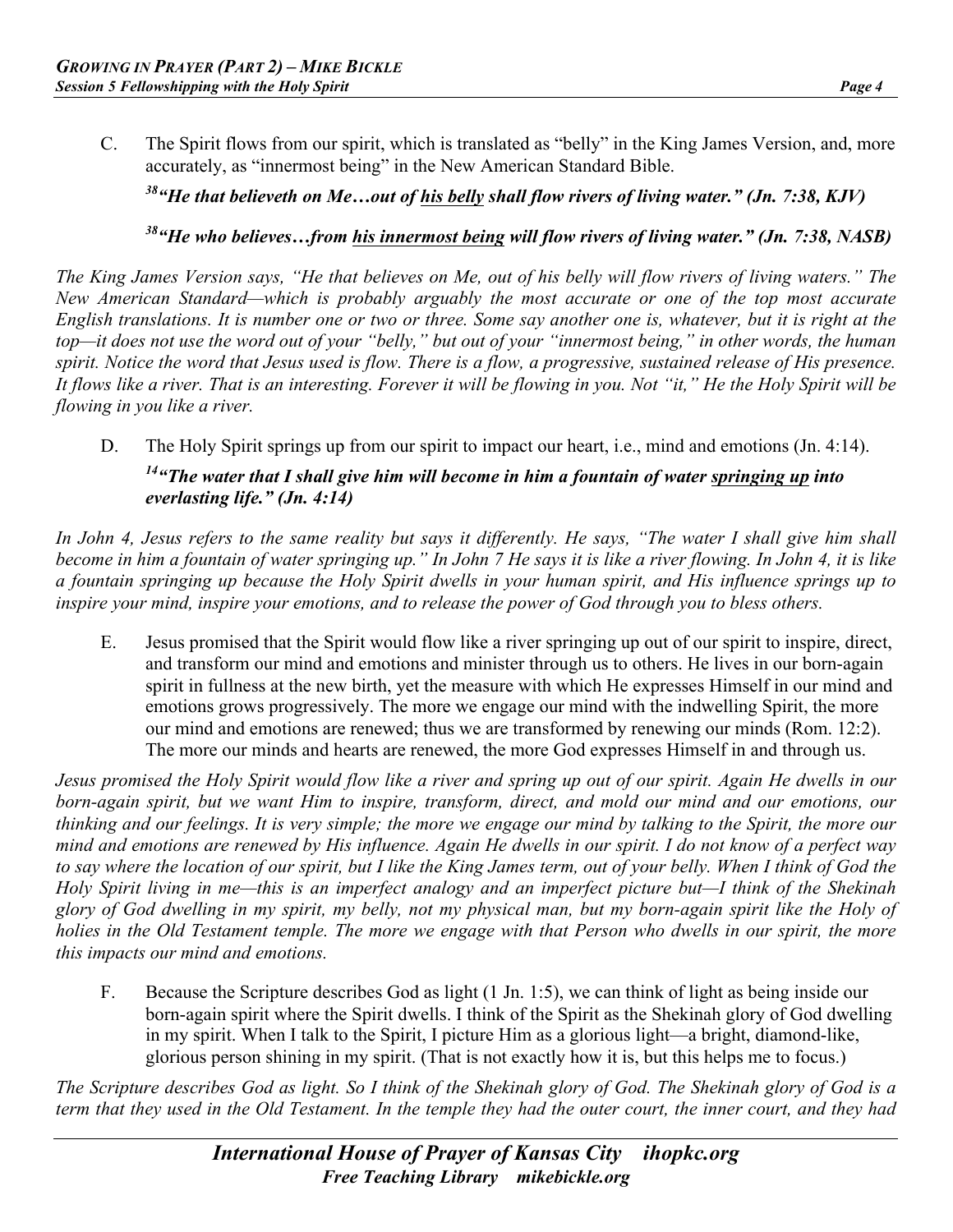C. The Spirit flows from our spirit, which is translated as "belly" in the King James Version, and, more accurately, as "innermost being" in the New American Standard Bible.

*38"He that believeth on Me…out of his belly shall flow rivers of living water." (Jn. 7:38, KJV)*

#### *38"He who believes…from his innermost being will flow rivers of living water." (Jn. 7:38, NASB)*

*The King James Version says, "He that believes on Me, out of his belly will flow rivers of living waters." The New American Standard—which is probably arguably the most accurate or one of the top most accurate English translations. It is number one or two or three. Some say another one is, whatever, but it is right at the top—it does not use the word out of your "belly," but out of your "innermost being," in other words, the human spirit. Notice the word that Jesus used is flow. There is a flow, a progressive, sustained release of His presence. It flows like a river. That is an interesting. Forever it will be flowing in you. Not "it," He the Holy Spirit will be flowing in you like a river.*

D. The Holy Spirit springs up from our spirit to impact our heart, i.e., mind and emotions (Jn. 4:14).

# *14"The water that I shall give him will become in him a fountain of water springing up into everlasting life." (Jn. 4:14)*

*In John 4, Jesus refers to the same reality but says it differently. He says, "The water I shall give him shall become in him a fountain of water springing up." In John 7 He says it is like a river flowing. In John 4, it is like a fountain springing up because the Holy Spirit dwells in your human spirit, and His influence springs up to inspire your mind, inspire your emotions, and to release the power of God through you to bless others.*

E. Jesus promised that the Spirit would flow like a river springing up out of our spirit to inspire, direct, and transform our mind and emotions and minister through us to others. He lives in our born-again spirit in fullness at the new birth, yet the measure with which He expresses Himself in our mind and emotions grows progressively. The more we engage our mind with the indwelling Spirit, the more our mind and emotions are renewed; thus we are transformed by renewing our minds (Rom. 12:2). The more our minds and hearts are renewed, the more God expresses Himself in and through us.

*Jesus promised the Holy Spirit would flow like a river and spring up out of our spirit. Again He dwells in our born-again spirit, but we want Him to inspire, transform, direct, and mold our mind and our emotions, our thinking and our feelings. It is very simple; the more we engage our mind by talking to the Spirit, the more our mind and emotions are renewed by His influence. Again He dwells in our spirit. I do not know of a perfect way to say where the location of our spirit, but I like the King James term, out of your belly. When I think of God the Holy Spirit living in me—this is an imperfect analogy and an imperfect picture but—I think of the Shekinah glory of God dwelling in my spirit, my belly, not my physical man, but my born-again spirit like the Holy of holies in the Old Testament temple. The more we engage with that Person who dwells in our spirit, the more this impacts our mind and emotions.* 

F. Because the Scripture describes God as light (1 Jn. 1:5), we can think of light as being inside our born-again spirit where the Spirit dwells. I think of the Spirit as the Shekinah glory of God dwelling in my spirit. When I talk to the Spirit, I picture Him as a glorious light—a bright, diamond-like, glorious person shining in my spirit. (That is not exactly how it is, but this helps me to focus.)

*The Scripture describes God as light. So I think of the Shekinah glory of God. The Shekinah glory of God is a term that they used in the Old Testament. In the temple they had the outer court, the inner court, and they had*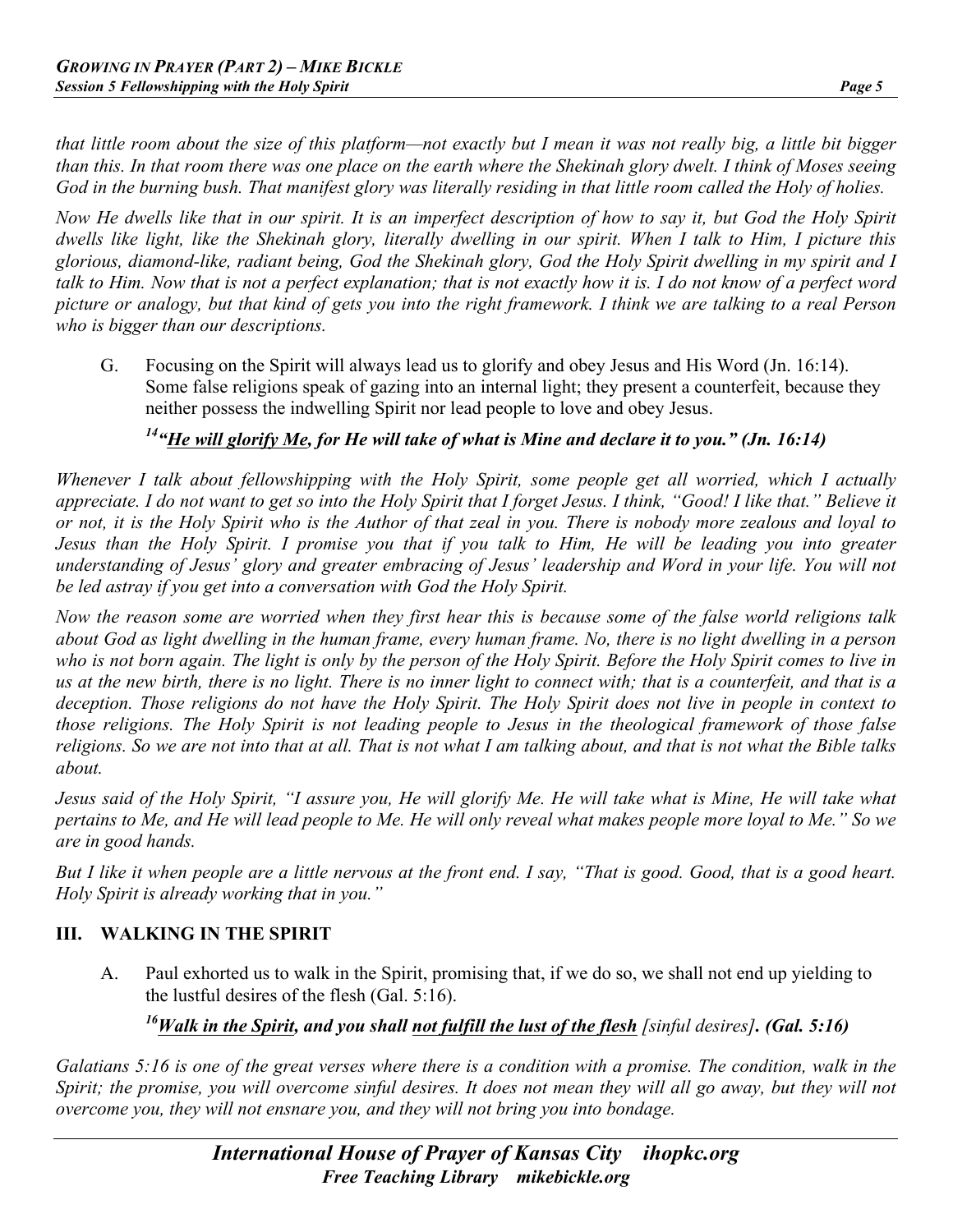*that little room about the size of this platform—not exactly but I mean it was not really big, a little bit bigger than this. In that room there was one place on the earth where the Shekinah glory dwelt. I think of Moses seeing God in the burning bush. That manifest glory was literally residing in that little room called the Holy of holies.*

*Now He dwells like that in our spirit. It is an imperfect description of how to say it, but God the Holy Spirit dwells like light, like the Shekinah glory, literally dwelling in our spirit. When I talk to Him, I picture this glorious, diamond-like, radiant being, God the Shekinah glory, God the Holy Spirit dwelling in my spirit and I talk to Him. Now that is not a perfect explanation; that is not exactly how it is. I do not know of a perfect word picture or analogy, but that kind of gets you into the right framework. I think we are talking to a real Person who is bigger than our descriptions.*

G. Focusing on the Spirit will always lead us to glorify and obey Jesus and His Word (Jn. 16:14). Some false religions speak of gazing into an internal light; they present a counterfeit, because they neither possess the indwelling Spirit nor lead people to love and obey Jesus.

# *14"He will glorify Me, for He will take of what is Mine and declare it to you." (Jn. 16:14)*

*Whenever I talk about fellowshipping with the Holy Spirit, some people get all worried, which I actually appreciate. I do not want to get so into the Holy Spirit that I forget Jesus. I think, "Good! I like that." Believe it or not, it is the Holy Spirit who is the Author of that zeal in you. There is nobody more zealous and loyal to Jesus than the Holy Spirit. I promise you that if you talk to Him, He will be leading you into greater understanding of Jesus' glory and greater embracing of Jesus' leadership and Word in your life. You will not be led astray if you get into a conversation with God the Holy Spirit.*

*Now the reason some are worried when they first hear this is because some of the false world religions talk about God as light dwelling in the human frame, every human frame. No, there is no light dwelling in a person who is not born again. The light is only by the person of the Holy Spirit. Before the Holy Spirit comes to live in us at the new birth, there is no light. There is no inner light to connect with; that is a counterfeit, and that is a deception. Those religions do not have the Holy Spirit. The Holy Spirit does not live in people in context to those religions. The Holy Spirit is not leading people to Jesus in the theological framework of those false religions. So we are not into that at all. That is not what I am talking about, and that is not what the Bible talks about.*

*Jesus said of the Holy Spirit, "I assure you, He will glorify Me. He will take what is Mine, He will take what pertains to Me, and He will lead people to Me. He will only reveal what makes people more loyal to Me." So we are in good hands.*

*But I like it when people are a little nervous at the front end. I say, "That is good. Good, that is a good heart. Holy Spirit is already working that in you."*

#### **III. WALKING IN THE SPIRIT**

A. Paul exhorted us to walk in the Spirit, promising that, if we do so, we shall not end up yielding to the lustful desires of the flesh (Gal. 5:16).

## *16Walk in the Spirit, and you shall not fulfill the lust of the flesh [sinful desires]. (Gal. 5:16)*

*Galatians 5:16 is one of the great verses where there is a condition with a promise. The condition, walk in the Spirit; the promise, you will overcome sinful desires. It does not mean they will all go away, but they will not overcome you, they will not ensnare you, and they will not bring you into bondage.*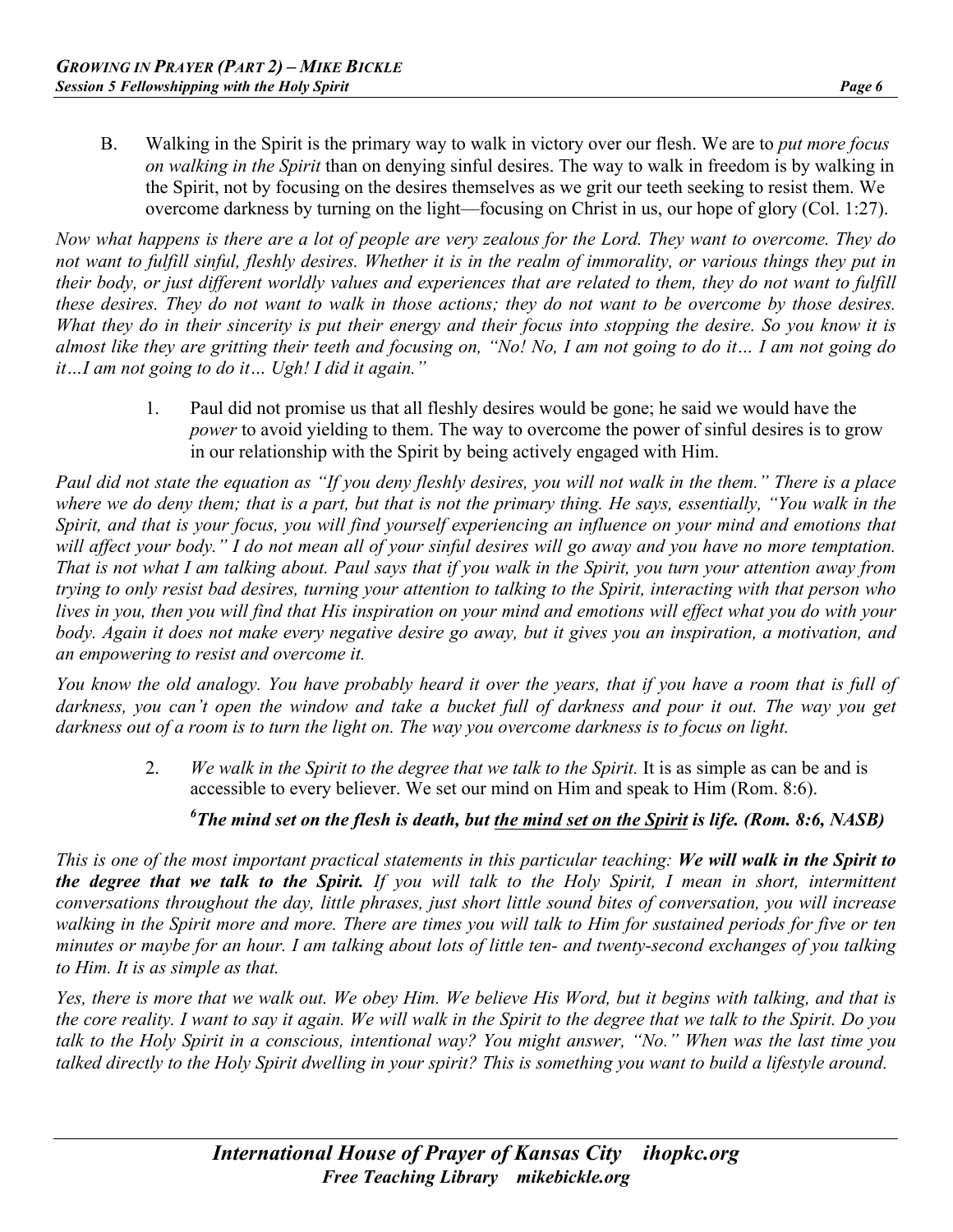B. Walking in the Spirit is the primary way to walk in victory over our flesh. We are to *put more focus on walking in the Spirit* than on denying sinful desires. The way to walk in freedom is by walking in the Spirit, not by focusing on the desires themselves as we grit our teeth seeking to resist them. We overcome darkness by turning on the light—focusing on Christ in us, our hope of glory (Col. 1:27).

*Now what happens is there are a lot of people are very zealous for the Lord. They want to overcome. They do not want to fulfill sinful, fleshly desires. Whether it is in the realm of immorality, or various things they put in their body, or just different worldly values and experiences that are related to them, they do not want to fulfill these desires. They do not want to walk in those actions; they do not want to be overcome by those desires. What they do in their sincerity is put their energy and their focus into stopping the desire. So you know it is almost like they are gritting their teeth and focusing on, "No! No, I am not going to do it… I am not going do it…I am not going to do it… Ugh! I did it again."*

> 1. Paul did not promise us that all fleshly desires would be gone; he said we would have the *power* to avoid yielding to them. The way to overcome the power of sinful desires is to grow in our relationship with the Spirit by being actively engaged with Him.

*Paul did not state the equation as "If you deny fleshly desires, you will not walk in the them." There is a place where we do deny them; that is a part, but that is not the primary thing. He says, essentially, "You walk in the Spirit, and that is your focus, you will find yourself experiencing an influence on your mind and emotions that* will affect your body." I do not mean all of your sinful desires will go away and you have no more temptation. *That is not what I am talking about. Paul says that if you walk in the Spirit, you turn your attention away from trying to only resist bad desires, turning your attention to talking to the Spirit, interacting with that person who lives in you, then you will find that His inspiration on your mind and emotions will effect what you do with your body. Again it does not make every negative desire go away, but it gives you an inspiration, a motivation, and an empowering to resist and overcome it.*

*You know the old analogy. You have probably heard it over the years, that if you have a room that is full of*  darkness, you can't open the window and take a bucket full of darkness and pour it out. The way you get *darkness out of a room is to turn the light on. The way you overcome darkness is to focus on light.*

> 2. *We walk in the Spirit to the degree that we talk to the Spirit.* It is as simple as can be and is accessible to every believer. We set our mind on Him and speak to Him (Rom. 8:6).

## *6 The mind set on the flesh is death, but the mind set on the Spirit is life. (Rom. 8:6, NASB)*

*This is one of the most important practical statements in this particular teaching: We will walk in the Spirit to the degree that we talk to the Spirit. If you will talk to the Holy Spirit, I mean in short, intermittent conversations throughout the day, little phrases, just short little sound bites of conversation, you will increase walking in the Spirit more and more. There are times you will talk to Him for sustained periods for five or ten minutes or maybe for an hour. I am talking about lots of little ten- and twenty-second exchanges of you talking to Him. It is as simple as that.*

*Yes, there is more that we walk out. We obey Him. We believe His Word, but it begins with talking, and that is the core reality. I want to say it again. We will walk in the Spirit to the degree that we talk to the Spirit. Do you talk to the Holy Spirit in a conscious, intentional way? You might answer, "No." When was the last time you talked directly to the Holy Spirit dwelling in your spirit? This is something you want to build a lifestyle around.*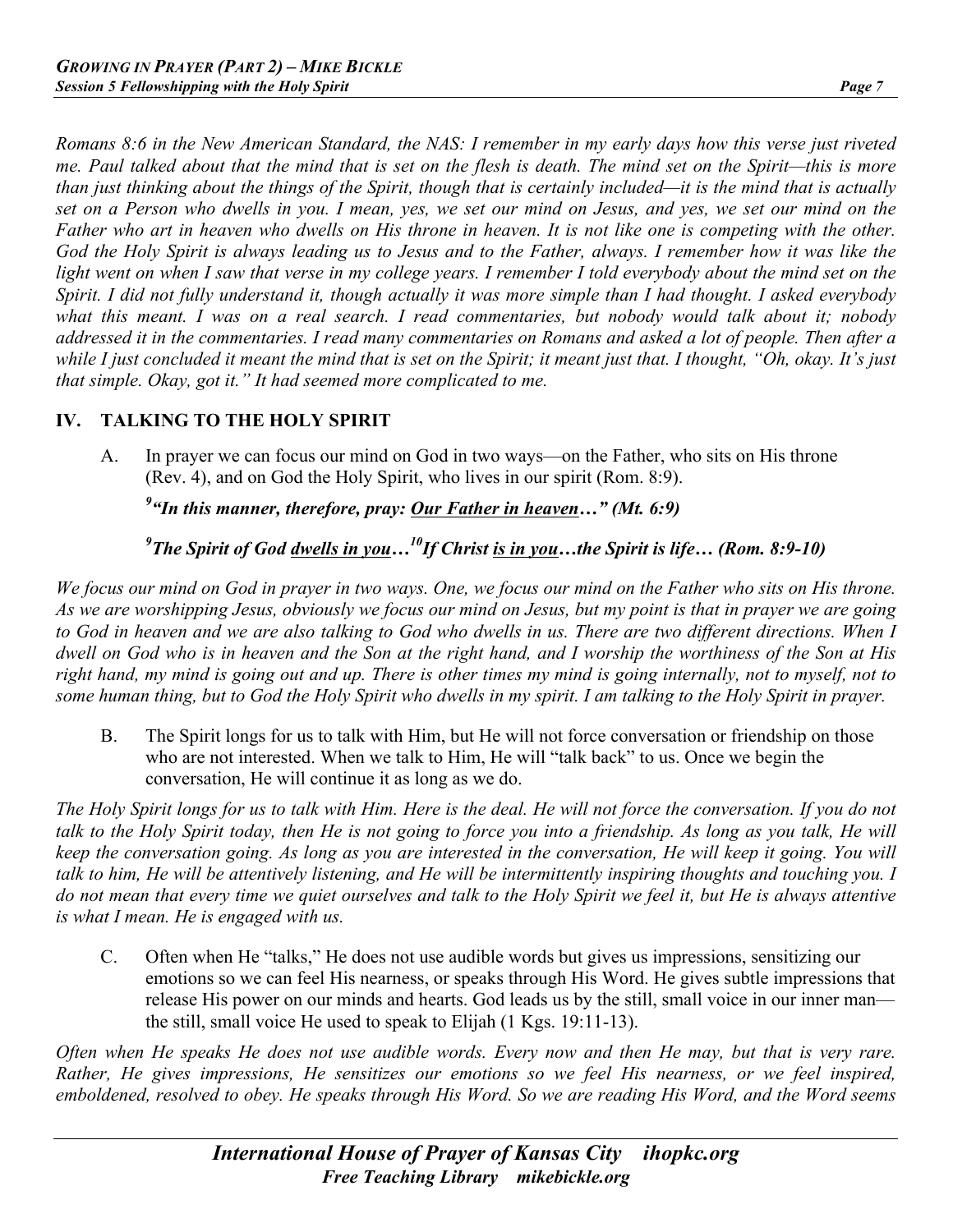*Romans 8:6 in the New American Standard, the NAS: I remember in my early days how this verse just riveted me. Paul talked about that the mind that is set on the flesh is death. The mind set on the Spirit—this is more than just thinking about the things of the Spirit, though that is certainly included—it is the mind that is actually set on a Person who dwells in you. I mean, yes, we set our mind on Jesus, and yes, we set our mind on the Father who art in heaven who dwells on His throne in heaven. It is not like one is competing with the other. God the Holy Spirit is always leading us to Jesus and to the Father, always. I remember how it was like the*  light went on when I saw that verse in my college years. I remember I told everybody about the mind set on the *Spirit. I did not fully understand it, though actually it was more simple than I had thought. I asked everybody what this meant. I was on a real search. I read commentaries, but nobody would talk about it; nobody addressed it in the commentaries. I read many commentaries on Romans and asked a lot of people. Then after a while I just concluded it meant the mind that is set on the Spirit; it meant just that. I thought, "Oh, okay. It's just that simple. Okay, got it." It had seemed more complicated to me.*

#### **IV. TALKING TO THE HOLY SPIRIT**

A. In prayer we can focus our mind on God in two ways—on the Father, who sits on His throne (Rev. 4), and on God the Holy Spirit, who lives in our spirit (Rom. 8:9).

*9 "In this manner, therefore, pray: Our Father in heaven…" (Mt. 6:9)*

*9 The Spirit of God dwells in you…10If Christ is in you…the Spirit is life… (Rom. 8:9-10)*

*We focus our mind on God in prayer in two ways. One, we focus our mind on the Father who sits on His throne. As we are worshipping Jesus, obviously we focus our mind on Jesus, but my point is that in prayer we are going to God in heaven and we are also talking to God who dwells in us. There are two different directions. When I dwell on God who is in heaven and the Son at the right hand, and I worship the worthiness of the Son at His*  right hand, my mind is going out and up. There is other times my mind is going internally, not to myself, not to *some human thing, but to God the Holy Spirit who dwells in my spirit. I am talking to the Holy Spirit in prayer.*

B. The Spirit longs for us to talk with Him, but He will not force conversation or friendship on those who are not interested. When we talk to Him, He will "talk back" to us. Once we begin the conversation, He will continue it as long as we do.

*The Holy Spirit longs for us to talk with Him. Here is the deal. He will not force the conversation. If you do not talk to the Holy Spirit today, then He is not going to force you into a friendship. As long as you talk, He will keep the conversation going. As long as you are interested in the conversation, He will keep it going. You will talk to him, He will be attentively listening, and He will be intermittently inspiring thoughts and touching you. I do not mean that every time we quiet ourselves and talk to the Holy Spirit we feel it, but He is always attentive is what I mean. He is engaged with us.*

C. Often when He "talks," He does not use audible words but gives us impressions, sensitizing our emotions so we can feel His nearness, or speaks through His Word. He gives subtle impressions that release His power on our minds and hearts. God leads us by the still, small voice in our inner man the still, small voice He used to speak to Elijah (1 Kgs. 19:11-13).

*Often when He speaks He does not use audible words. Every now and then He may, but that is very rare. Rather, He gives impressions, He sensitizes our emotions so we feel His nearness, or we feel inspired, emboldened, resolved to obey. He speaks through His Word. So we are reading His Word, and the Word seems*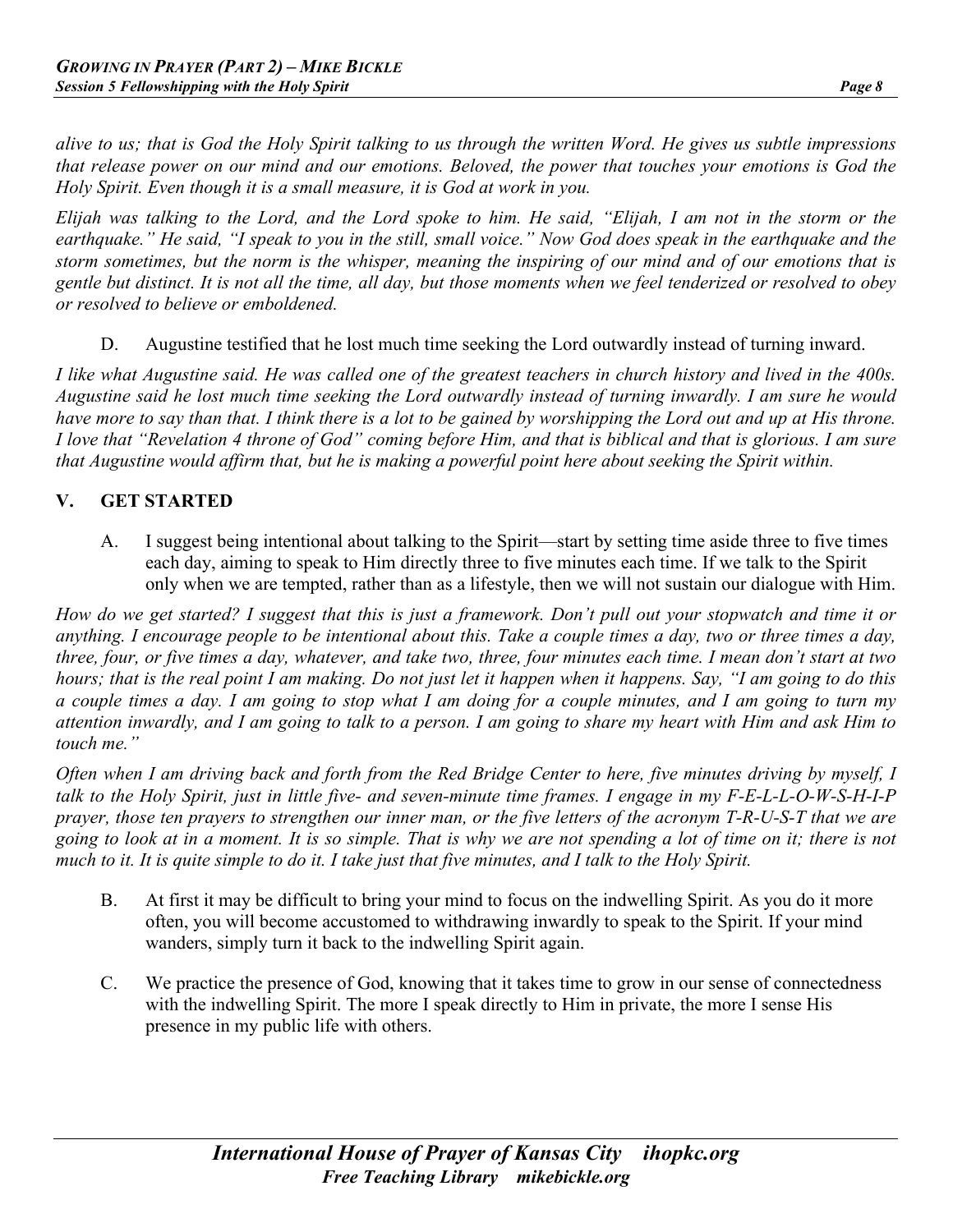*alive to us; that is God the Holy Spirit talking to us through the written Word. He gives us subtle impressions that release power on our mind and our emotions. Beloved, the power that touches your emotions is God the Holy Spirit. Even though it is a small measure, it is God at work in you.*

*Elijah was talking to the Lord, and the Lord spoke to him. He said, "Elijah, I am not in the storm or the earthquake." He said, "I speak to you in the still, small voice." Now God does speak in the earthquake and the storm sometimes, but the norm is the whisper, meaning the inspiring of our mind and of our emotions that is gentle but distinct. It is not all the time, all day, but those moments when we feel tenderized or resolved to obey or resolved to believe or emboldened.*

D. Augustine testified that he lost much time seeking the Lord outwardly instead of turning inward.

*I like what Augustine said. He was called one of the greatest teachers in church history and lived in the 400s. Augustine said he lost much time seeking the Lord outwardly instead of turning inwardly. I am sure he would have more to say than that. I think there is a lot to be gained by worshipping the Lord out and up at His throne. I love that "Revelation 4 throne of God" coming before Him, and that is biblical and that is glorious. I am sure that Augustine would affirm that, but he is making a powerful point here about seeking the Spirit within.*

#### **V. GET STARTED**

A. I suggest being intentional about talking to the Spirit—start by setting time aside three to five times each day, aiming to speak to Him directly three to five minutes each time. If we talk to the Spirit only when we are tempted, rather than as a lifestyle, then we will not sustain our dialogue with Him.

*How do we get started? I suggest that this is just a framework. Don't pull out your stopwatch and time it or anything. I encourage people to be intentional about this. Take a couple times a day, two or three times a day, three, four, or five times a day, whatever, and take two, three, four minutes each time. I mean don't start at two hours; that is the real point I am making. Do not just let it happen when it happens. Say, "I am going to do this a couple times a day. I am going to stop what I am doing for a couple minutes, and I am going to turn my attention inwardly, and I am going to talk to a person. I am going to share my heart with Him and ask Him to touch me."*

*Often when I am driving back and forth from the Red Bridge Center to here, five minutes driving by myself, I talk to the Holy Spirit, just in little five- and seven-minute time frames. I engage in my F-E-L-L-O-W-S-H-I-P prayer, those ten prayers to strengthen our inner man, or the five letters of the acronym T-R-U-S-T that we are going to look at in a moment. It is so simple. That is why we are not spending a lot of time on it; there is not much to it. It is quite simple to do it. I take just that five minutes, and I talk to the Holy Spirit.*

- B. At first it may be difficult to bring your mind to focus on the indwelling Spirit. As you do it more often, you will become accustomed to withdrawing inwardly to speak to the Spirit. If your mind wanders, simply turn it back to the indwelling Spirit again.
- C. We practice the presence of God, knowing that it takes time to grow in our sense of connectedness with the indwelling Spirit. The more I speak directly to Him in private, the more I sense His presence in my public life with others.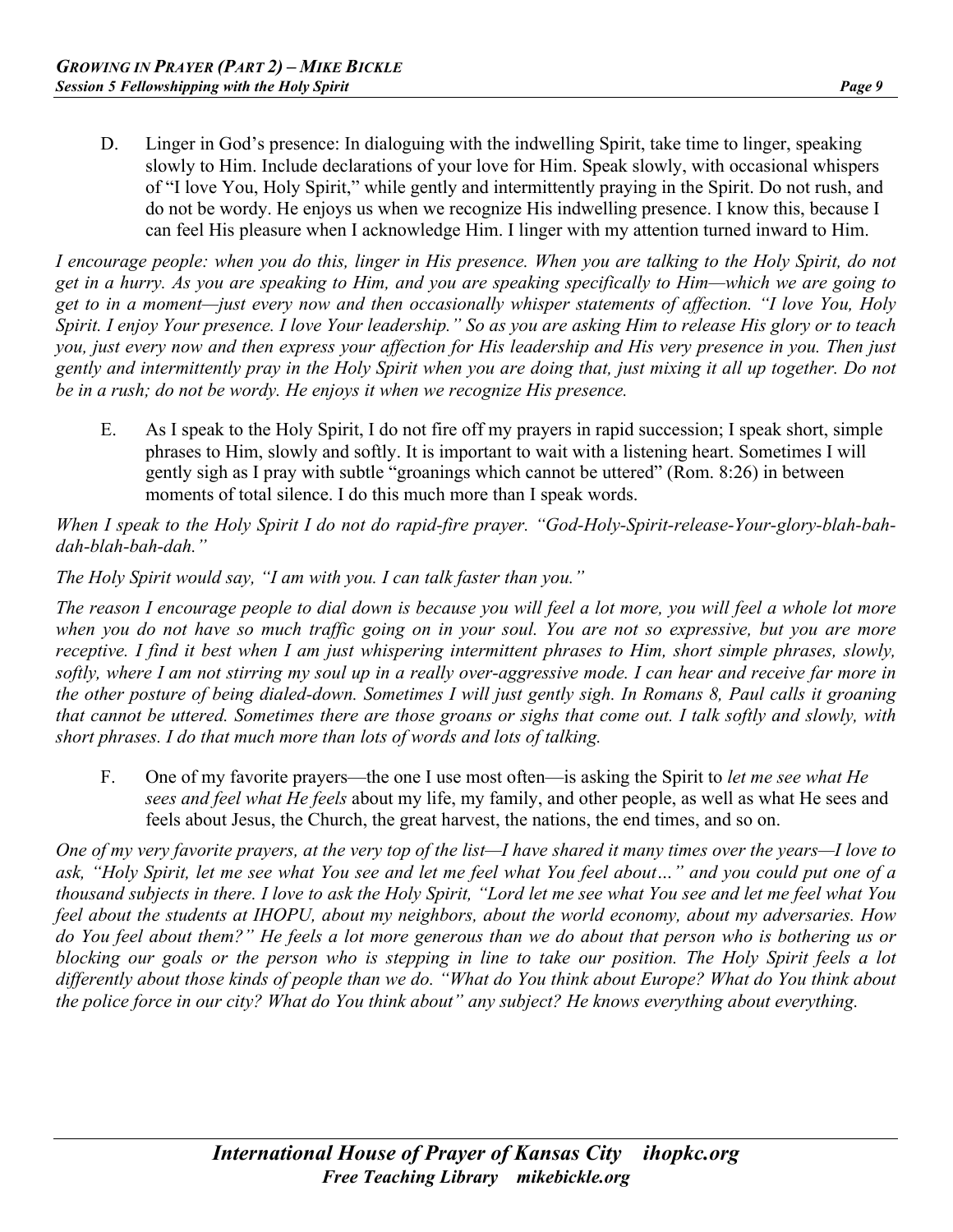D. Linger in God's presence: In dialoguing with the indwelling Spirit, take time to linger, speaking slowly to Him. Include declarations of your love for Him. Speak slowly, with occasional whispers of "I love You, Holy Spirit," while gently and intermittently praying in the Spirit. Do not rush, and do not be wordy. He enjoys us when we recognize His indwelling presence. I know this, because I can feel His pleasure when I acknowledge Him. I linger with my attention turned inward to Him.

*I encourage people: when you do this, linger in His presence. When you are talking to the Holy Spirit, do not get in a hurry. As you are speaking to Him, and you are speaking specifically to Him—which we are going to get to in a moment—just every now and then occasionally whisper statements of affection. "I love You, Holy Spirit. I enjoy Your presence. I love Your leadership." So as you are asking Him to release His glory or to teach you, just every now and then express your affection for His leadership and His very presence in you. Then just gently and intermittently pray in the Holy Spirit when you are doing that, just mixing it all up together. Do not be in a rush; do not be wordy. He enjoys it when we recognize His presence.*

E. As I speak to the Holy Spirit, I do not fire off my prayers in rapid succession; I speak short, simple phrases to Him, slowly and softly. It is important to wait with a listening heart. Sometimes I will gently sigh as I pray with subtle "groanings which cannot be uttered" (Rom. 8:26) in between moments of total silence. I do this much more than I speak words.

*When I speak to the Holy Spirit I do not do rapid-fire prayer. "God-Holy-Spirit-release-Your-glory-blah-bahdah-blah-bah-dah."*

*The Holy Spirit would say, "I am with you. I can talk faster than you."*

*The reason I encourage people to dial down is because you will feel a lot more, you will feel a whole lot more when you do not have so much traffic going on in your soul. You are not so expressive, but you are more receptive. I find it best when I am just whispering intermittent phrases to Him, short simple phrases, slowly, softly, where I am not stirring my soul up in a really over-aggressive mode. I can hear and receive far more in the other posture of being dialed-down. Sometimes I will just gently sigh. In Romans 8, Paul calls it groaning that cannot be uttered. Sometimes there are those groans or sighs that come out. I talk softly and slowly, with short phrases. I do that much more than lots of words and lots of talking.*

F. One of my favorite prayers—the one I use most often—is asking the Spirit to *let me see what He sees and feel what He feels* about my life, my family, and other people, as well as what He sees and feels about Jesus, the Church, the great harvest, the nations, the end times, and so on.

*One of my very favorite prayers, at the very top of the list—I have shared it many times over the years—I love to ask, "Holy Spirit, let me see what You see and let me feel what You feel about…" and you could put one of a thousand subjects in there. I love to ask the Holy Spirit, "Lord let me see what You see and let me feel what You feel about the students at IHOPU, about my neighbors, about the world economy, about my adversaries. How do You feel about them?" He feels a lot more generous than we do about that person who is bothering us or blocking our goals or the person who is stepping in line to take our position. The Holy Spirit feels a lot differently about those kinds of people than we do. "What do You think about Europe? What do You think about the police force in our city? What do You think about" any subject? He knows everything about everything.*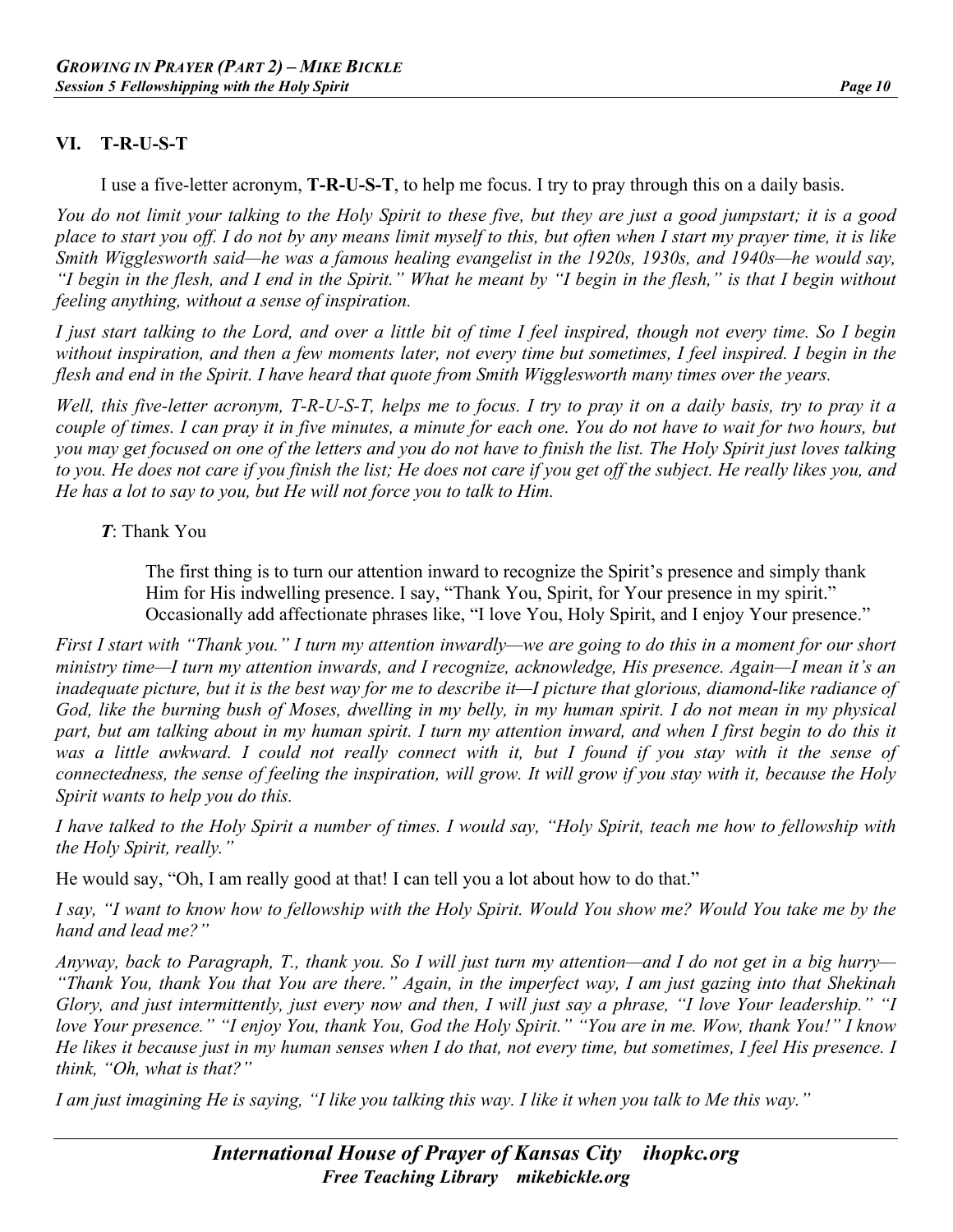#### **VI. T-R-U-S-T**

I use a five-letter acronym, **T-R-U-S-T**, to help me focus. I try to pray through this on a daily basis.

*You do not limit your talking to the Holy Spirit to these five, but they are just a good jumpstart; it is a good place to start you off. I do not by any means limit myself to this, but often when I start my prayer time, it is like Smith Wigglesworth said—he was a famous healing evangelist in the 1920s, 1930s, and 1940s—he would say, "I begin in the flesh, and I end in the Spirit." What he meant by "I begin in the flesh," is that I begin without feeling anything, without a sense of inspiration.*

*I just start talking to the Lord, and over a little bit of time I feel inspired, though not every time. So I begin without inspiration, and then a few moments later, not every time but sometimes, I feel inspired. I begin in the flesh and end in the Spirit. I have heard that quote from Smith Wigglesworth many times over the years.*

*Well, this five-letter acronym, T-R-U-S-T, helps me to focus. I try to pray it on a daily basis, try to pray it a couple of times. I can pray it in five minutes, a minute for each one. You do not have to wait for two hours, but you may get focused on one of the letters and you do not have to finish the list. The Holy Spirit just loves talking to you. He does not care if you finish the list; He does not care if you get off the subject. He really likes you, and He has a lot to say to you, but He will not force you to talk to Him.*

#### *T*: Thank You

The first thing is to turn our attention inward to recognize the Spirit's presence and simply thank Him for His indwelling presence. I say, "Thank You, Spirit, for Your presence in my spirit." Occasionally add affectionate phrases like, "I love You, Holy Spirit, and I enjoy Your presence."

*First I start with "Thank you." I turn my attention inwardly—we are going to do this in a moment for our short ministry time—I turn my attention inwards, and I recognize, acknowledge, His presence. Again—I mean it's an inadequate picture, but it is the best way for me to describe it—I picture that glorious, diamond-like radiance of God, like the burning bush of Moses, dwelling in my belly, in my human spirit. I do not mean in my physical part, but am talking about in my human spirit. I turn my attention inward, and when I first begin to do this it was a little awkward. I could not really connect with it, but I found if you stay with it the sense of connectedness, the sense of feeling the inspiration, will grow. It will grow if you stay with it, because the Holy Spirit wants to help you do this.*

*I have talked to the Holy Spirit a number of times. I would say, "Holy Spirit, teach me how to fellowship with the Holy Spirit, really."*

He would say, "Oh, I am really good at that! I can tell you a lot about how to do that."

*I say, "I want to know how to fellowship with the Holy Spirit. Would You show me? Would You take me by the hand and lead me?"*

*Anyway, back to Paragraph, T., thank you. So I will just turn my attention—and I do not get in a big hurry— "Thank You, thank You that You are there." Again, in the imperfect way, I am just gazing into that Shekinah Glory, and just intermittently, just every now and then, I will just say a phrase, "I love Your leadership." "I love Your presence." "I enjoy You, thank You, God the Holy Spirit." "You are in me. Wow, thank You!" I know He likes it because just in my human senses when I do that, not every time, but sometimes, I feel His presence. I think, "Oh, what is that?"*

*I am just imagining He is saying, "I like you talking this way. I like it when you talk to Me this way."*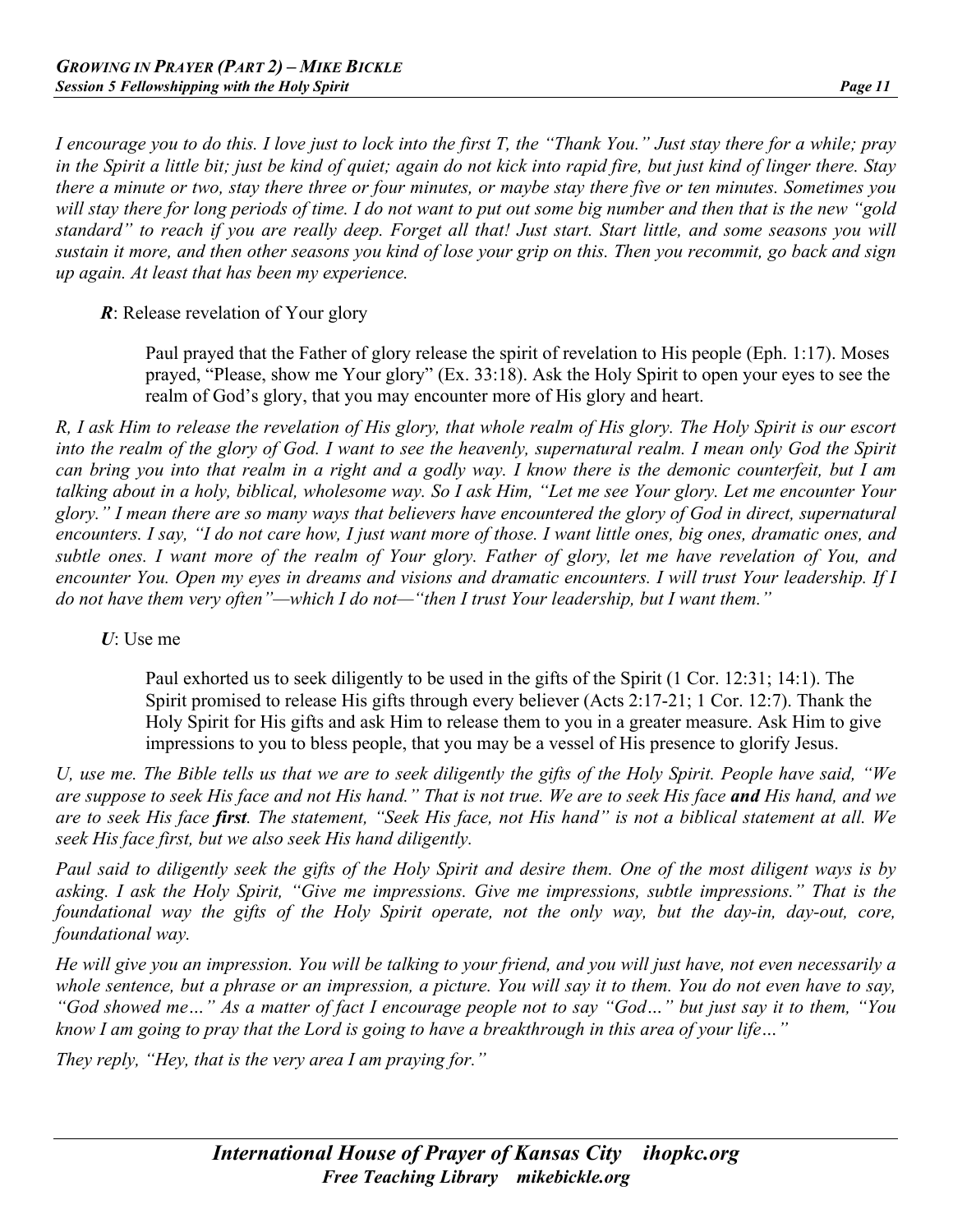*I encourage you to do this. I love just to lock into the first T, the "Thank You." Just stay there for a while; pray in the Spirit a little bit; just be kind of quiet; again do not kick into rapid fire, but just kind of linger there. Stay there a minute or two, stay there three or four minutes, or maybe stay there five or ten minutes. Sometimes you will stay there for long periods of time. I do not want to put out some big number and then that is the new "gold standard" to reach if you are really deep. Forget all that! Just start. Start little, and some seasons you will sustain it more, and then other seasons you kind of lose your grip on this. Then you recommit, go back and sign up again. At least that has been my experience.*

#### *R*: Release revelation of Your glory

Paul prayed that the Father of glory release the spirit of revelation to His people (Eph. 1:17). Moses prayed, "Please, show me Your glory" (Ex. 33:18). Ask the Holy Spirit to open your eyes to see the realm of God's glory, that you may encounter more of His glory and heart.

*R, I ask Him to release the revelation of His glory, that whole realm of His glory. The Holy Spirit is our escort into the realm of the glory of God. I want to see the heavenly, supernatural realm. I mean only God the Spirit can bring you into that realm in a right and a godly way. I know there is the demonic counterfeit, but I am talking about in a holy, biblical, wholesome way. So I ask Him, "Let me see Your glory. Let me encounter Your glory." I mean there are so many ways that believers have encountered the glory of God in direct, supernatural encounters. I say, "I do not care how, I just want more of those. I want little ones, big ones, dramatic ones, and subtle ones. I want more of the realm of Your glory. Father of glory, let me have revelation of You, and encounter You. Open my eyes in dreams and visions and dramatic encounters. I will trust Your leadership. If I do not have them very often"—which I do not—"then I trust Your leadership, but I want them."*

#### *U*: Use me

Paul exhorted us to seek diligently to be used in the gifts of the Spirit (1 Cor. 12:31; 14:1). The Spirit promised to release His gifts through every believer (Acts 2:17-21; 1 Cor. 12:7). Thank the Holy Spirit for His gifts and ask Him to release them to you in a greater measure. Ask Him to give impressions to you to bless people, that you may be a vessel of His presence to glorify Jesus.

*U, use me. The Bible tells us that we are to seek diligently the gifts of the Holy Spirit. People have said, "We are suppose to seek His face and not His hand." That is not true. We are to seek His face and His hand, and we are to seek His face first. The statement, "Seek His face, not His hand" is not a biblical statement at all. We seek His face first, but we also seek His hand diligently.*

*Paul said to diligently seek the gifts of the Holy Spirit and desire them. One of the most diligent ways is by asking. I ask the Holy Spirit, "Give me impressions. Give me impressions, subtle impressions." That is the foundational way the gifts of the Holy Spirit operate, not the only way, but the day-in, day-out, core, foundational way.*

*He will give you an impression. You will be talking to your friend, and you will just have, not even necessarily a whole sentence, but a phrase or an impression, a picture. You will say it to them. You do not even have to say, "God showed me…" As a matter of fact I encourage people not to say "God…" but just say it to them, "You know I am going to pray that the Lord is going to have a breakthrough in this area of your life…"*

*They reply, "Hey, that is the very area I am praying for."*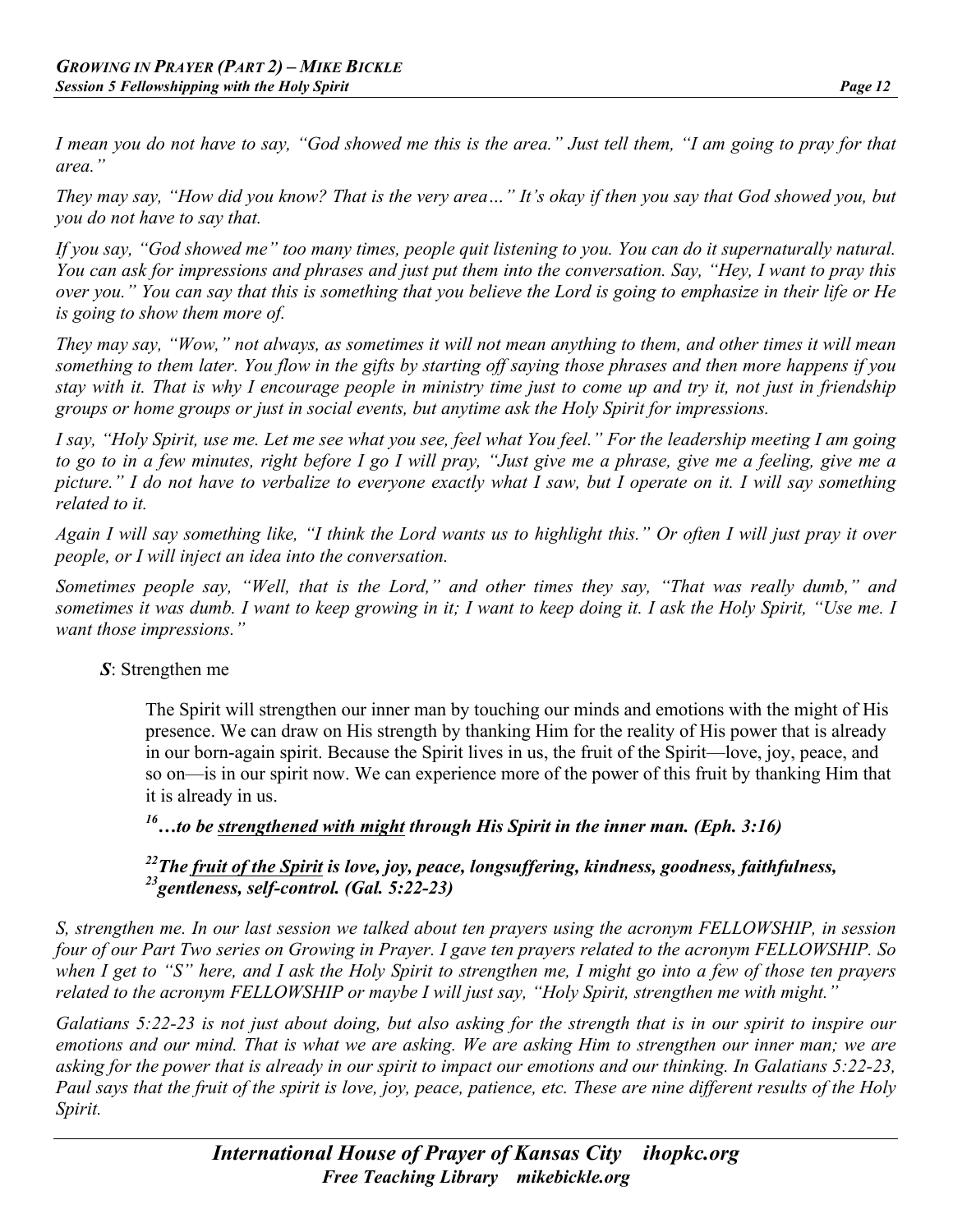*I mean you do not have to say, "God showed me this is the area." Just tell them, "I am going to pray for that area."*

*They may say, "How did you know? That is the very area…" It's okay if then you say that God showed you, but you do not have to say that.*

*If you say, "God showed me" too many times, people quit listening to you. You can do it supernaturally natural. You can ask for impressions and phrases and just put them into the conversation. Say, "Hey, I want to pray this over you." You can say that this is something that you believe the Lord is going to emphasize in their life or He is going to show them more of.*

*They may say, "Wow," not always, as sometimes it will not mean anything to them, and other times it will mean something to them later. You flow in the gifts by starting off saying those phrases and then more happens if you stay with it. That is why I encourage people in ministry time just to come up and try it, not just in friendship groups or home groups or just in social events, but anytime ask the Holy Spirit for impressions.*

*I say, "Holy Spirit, use me. Let me see what you see, feel what You feel." For the leadership meeting I am going to go to in a few minutes, right before I go I will pray, "Just give me a phrase, give me a feeling, give me a picture." I do not have to verbalize to everyone exactly what I saw, but I operate on it. I will say something related to it.*

*Again I will say something like, "I think the Lord wants us to highlight this." Or often I will just pray it over people, or I will inject an idea into the conversation.*

*Sometimes people say, "Well, that is the Lord," and other times they say, "That was really dumb," and sometimes it was dumb. I want to keep growing in it; I want to keep doing it. I ask the Holy Spirit, "Use me. I want those impressions."*

#### *S*: Strengthen me

The Spirit will strengthen our inner man by touching our minds and emotions with the might of His presence. We can draw on His strength by thanking Him for the reality of His power that is already in our born-again spirit. Because the Spirit lives in us, the fruit of the Spirit—love, joy, peace, and so on—is in our spirit now. We can experience more of the power of this fruit by thanking Him that it is already in us.

## *16…to be strengthened with might through His Spirit in the inner man. (Eph. 3:16)*

#### *22The fruit of the Spirit is love, joy, peace, longsuffering, kindness, goodness, faithfulness, 23gentleness, self-control. (Gal. 5:22-23)*

*S, strengthen me. In our last session we talked about ten prayers using the acronym FELLOWSHIP, in session four of our Part Two series on Growing in Prayer. I gave ten prayers related to the acronym FELLOWSHIP. So when I get to "S" here, and I ask the Holy Spirit to strengthen me, I might go into a few of those ten prayers related to the acronym FELLOWSHIP or maybe I will just say, "Holy Spirit, strengthen me with might."*

*Galatians 5:22-23 is not just about doing, but also asking for the strength that is in our spirit to inspire our emotions and our mind. That is what we are asking. We are asking Him to strengthen our inner man; we are asking for the power that is already in our spirit to impact our emotions and our thinking. In Galatians 5:22-23, Paul says that the fruit of the spirit is love, joy, peace, patience, etc. These are nine different results of the Holy Spirit.*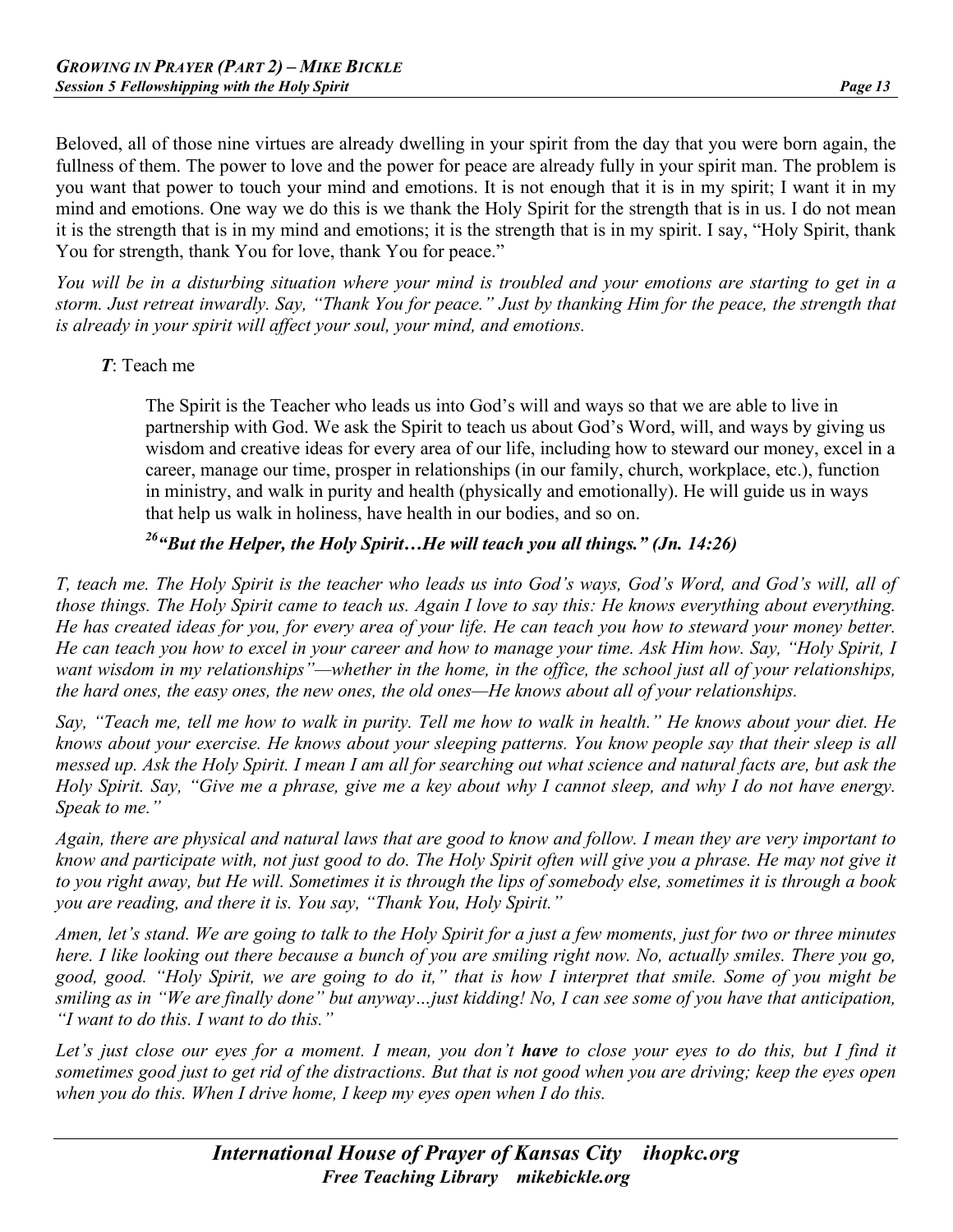Beloved, all of those nine virtues are already dwelling in your spirit from the day that you were born again, the fullness of them. The power to love and the power for peace are already fully in your spirit man. The problem is you want that power to touch your mind and emotions. It is not enough that it is in my spirit; I want it in my mind and emotions. One way we do this is we thank the Holy Spirit for the strength that is in us. I do not mean it is the strength that is in my mind and emotions; it is the strength that is in my spirit. I say, "Holy Spirit, thank You for strength, thank You for love, thank You for peace."

*You will be in a disturbing situation where your mind is troubled and your emotions are starting to get in a storm. Just retreat inwardly. Say, "Thank You for peace." Just by thanking Him for the peace, the strength that is already in your spirit will affect your soul, your mind, and emotions.*

#### *T*: Teach me

The Spirit is the Teacher who leads us into God's will and ways so that we are able to live in partnership with God. We ask the Spirit to teach us about God's Word, will, and ways by giving us wisdom and creative ideas for every area of our life, including how to steward our money, excel in a career, manage our time, prosper in relationships (in our family, church, workplace, etc.), function in ministry, and walk in purity and health (physically and emotionally). He will guide us in ways that help us walk in holiness, have health in our bodies, and so on.

# *26"But the Helper, the Holy Spirit…He will teach you all things." (Jn. 14:26)*

*T, teach me. The Holy Spirit is the teacher who leads us into God's ways, God's Word, and God's will, all of those things. The Holy Spirit came to teach us. Again I love to say this: He knows everything about everything. He has created ideas for you, for every area of your life. He can teach you how to steward your money better. He can teach you how to excel in your career and how to manage your time. Ask Him how. Say, "Holy Spirit, I want wisdom in my relationships*"—whether in the home, in the office, the school just all of your relationships, *the hard ones, the easy ones, the new ones, the old ones—He knows about all of your relationships.*

*Say, "Teach me, tell me how to walk in purity. Tell me how to walk in health." He knows about your diet. He knows about your exercise. He knows about your sleeping patterns. You know people say that their sleep is all messed up. Ask the Holy Spirit. I mean I am all for searching out what science and natural facts are, but ask the Holy Spirit. Say, "Give me a phrase, give me a key about why I cannot sleep, and why I do not have energy. Speak to me."*

*Again, there are physical and natural laws that are good to know and follow. I mean they are very important to know and participate with, not just good to do. The Holy Spirit often will give you a phrase. He may not give it to you right away, but He will. Sometimes it is through the lips of somebody else, sometimes it is through a book you are reading, and there it is. You say, "Thank You, Holy Spirit."*

*Amen, let's stand. We are going to talk to the Holy Spirit for a just a few moments, just for two or three minutes here. I like looking out there because a bunch of you are smiling right now. No, actually smiles. There you go, good, good. "Holy Spirit, we are going to do it," that is how I interpret that smile. Some of you might be smiling as in "We are finally done" but anyway…just kidding! No, I can see some of you have that anticipation, "I want to do this. I want to do this."*

*Let's just close our eyes for a moment. I mean, you don't have to close your eyes to do this, but I find it sometimes good just to get rid of the distractions. But that is not good when you are driving; keep the eyes open when you do this. When I drive home, I keep my eyes open when I do this.*